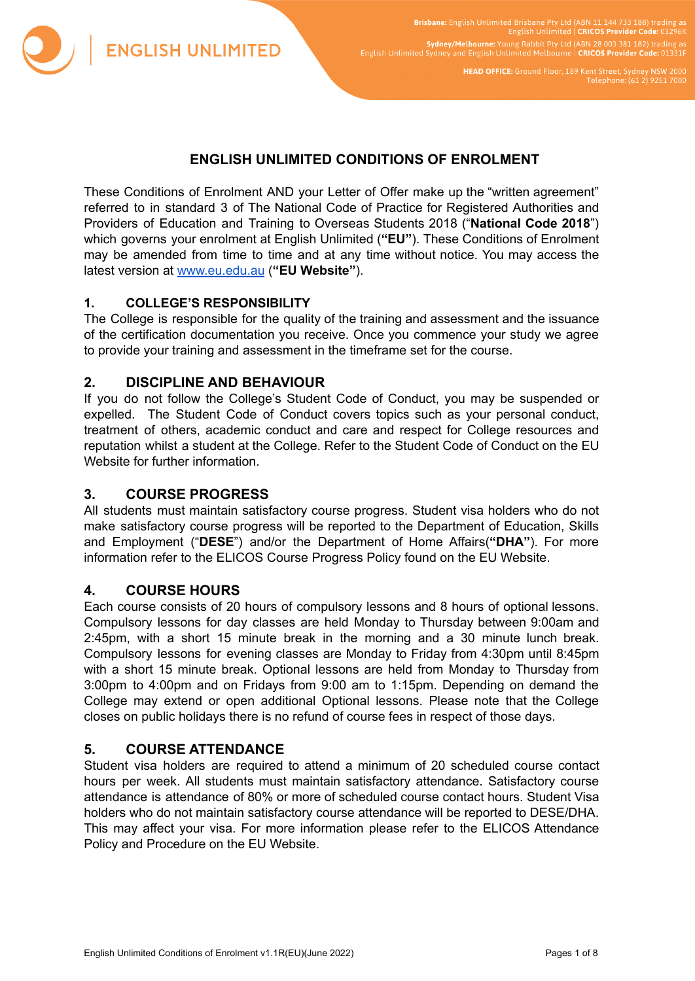**ENGLISH UNLIMITED** 

HEAD OFFICE: Ground Floor, 189 Kent Street, Sydney NSW 2000 Telephone: (61 2) 9251 7000

# **ENGLISH UNLIMITED CONDITIONS OF ENROLMENT**

These Conditions of Enrolment AND your Letter of Offer make up the "written agreement" referred to in standard 3 of The National Code of Practice for Registered Authorities and Providers of Education and Training to Overseas Students 2018 ("**National Code 2018**") which governs your enrolment at English Unlimited (**"EU"**). These Conditions of Enrolment may be amended from time to time and at any time without notice. You may access the latest version at [www.eu.edu.au](http://www.eu.edu.au) (**"EU Website"**).

### **1. COLLEGE'S RESPONSIBILITY**

The College is responsible for the quality of the training and assessment and the issuance of the certification documentation you receive. Once you commence your study we agree to provide your training and assessment in the timeframe set for the course.

## **2. DISCIPLINE AND BEHAVIOUR**

If you do not follow the College's Student Code of Conduct, you may be suspended or expelled. The Student Code of Conduct covers topics such as your personal conduct, treatment of others, academic conduct and care and respect for College resources and reputation whilst a student at the College. Refer to the Student Code of Conduct on the EU Website for further information.

#### **3. COURSE PROGRESS**

All students must maintain satisfactory course progress. Student visa holders who do not make satisfactory course progress will be reported to the Department of Education, Skills and Employment ("**DESE**") and/or the Department of Home Affairs(**"DHA"**). For more information refer to the ELICOS Course Progress Policy found on the EU Website.

## **4. COURSE HOURS**

Each course consists of 20 hours of compulsory lessons and 8 hours of optional lessons. Compulsory lessons for day classes are held Monday to Thursday between 9:00am and 2:45pm, with a short 15 minute break in the morning and a 30 minute lunch break. Compulsory lessons for evening classes are Monday to Friday from 4:30pm until 8:45pm with a short 15 minute break. Optional lessons are held from Monday to Thursday from 3:00pm to 4:00pm and on Fridays from 9:00 am to 1:15pm. Depending on demand the College may extend or open additional Optional lessons. Please note that the College closes on public holidays there is no refund of course fees in respect of those days.

## **5. COURSE ATTENDANCE**

Student visa holders are required to attend a minimum of 20 scheduled course contact hours per week. All students must maintain satisfactory attendance. Satisfactory course attendance is attendance of 80% or more of scheduled course contact hours. Student Visa holders who do not maintain satisfactory course attendance will be reported to DESE/DHA. This may affect your visa. For more information please refer to the ELICOS Attendance Policy and Procedure on the EU Website.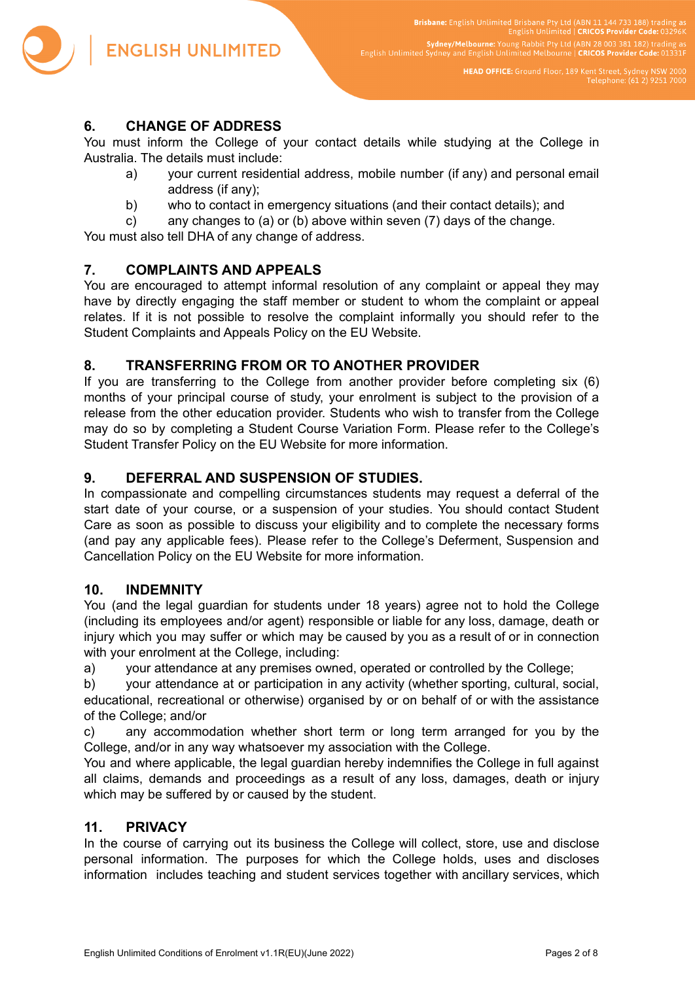

# **6. CHANGE OF ADDRESS**

You must inform the College of your contact details while studying at the College in Australia. The details must include:

- a) your current residential address, mobile number (if any) and personal email address (if any);
- b) who to contact in emergency situations (and their contact details); and
- c) any changes to (a) or (b) above within seven (7) days of the change.

You must also tell DHA of any change of address.

## **7. COMPLAINTS AND APPEALS**

You are encouraged to attempt informal resolution of any complaint or appeal they may have by directly engaging the staff member or student to whom the complaint or appeal relates. If it is not possible to resolve the complaint informally you should refer to the Student Complaints and Appeals Policy on the EU Website.

## **8. TRANSFERRING FROM OR TO ANOTHER PROVIDER**

If you are transferring to the College from another provider before completing six (6) months of your principal course of study, your enrolment is subject to the provision of a release from the other education provider. Students who wish to transfer from the College may do so by completing a Student Course Variation Form. Please refer to the College's Student Transfer Policy on the EU Website for more information.

## **9. DEFERRAL AND SUSPENSION OF STUDIES.**

In compassionate and compelling circumstances students may request a deferral of the start date of your course, or a suspension of your studies. You should contact Student Care as soon as possible to discuss your eligibility and to complete the necessary forms (and pay any applicable fees). Please refer to the College's Deferment, Suspension and Cancellation Policy on the EU Website for more information.

## **10. INDEMNITY**

You (and the legal guardian for students under 18 years) agree not to hold the College (including its employees and/or agent) responsible or liable for any loss, damage, death or injury which you may suffer or which may be caused by you as a result of or in connection with your enrolment at the College, including:

a) your attendance at any premises owned, operated or controlled by the College;

b) your attendance at or participation in any activity (whether sporting, cultural, social, educational, recreational or otherwise) organised by or on behalf of or with the assistance of the College; and/or

c) any accommodation whether short term or long term arranged for you by the College, and/or in any way whatsoever my association with the College.

You and where applicable, the legal guardian hereby indemnifies the College in full against all claims, demands and proceedings as a result of any loss, damages, death or injury which may be suffered by or caused by the student.

## **11. PRIVACY**

In the course of carrying out its business the College will collect, store, use and disclose personal information. The purposes for which the College holds, uses and discloses information includes teaching and student services together with ancillary services, which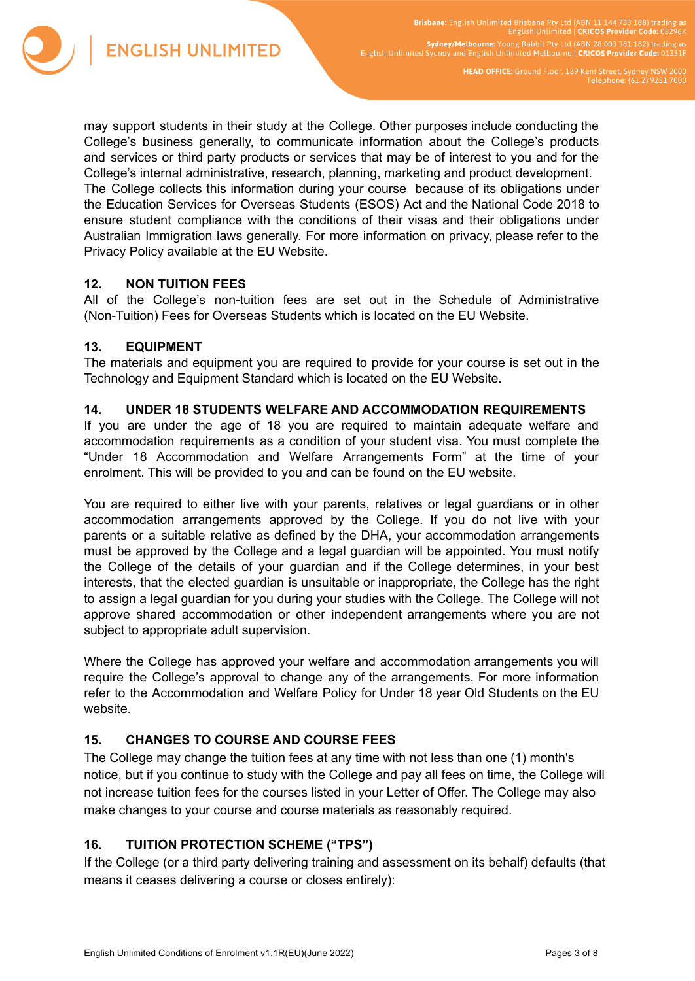

may support students in their study at the College. Other purposes include conducting the College's business generally, to communicate information about the College's products and services or third party products or services that may be of interest to you and for the College's internal administrative, research, planning, marketing and product development. The College collects this information during your course because of its obligations under the Education Services for Overseas Students (ESOS) Act and the National Code 2018 to ensure student compliance with the conditions of their visas and their obligations under Australian Immigration laws generally. For more information on privacy, please refer to the Privacy Policy available at the EU Website.

#### **12. NON TUITION FEES**

All of the College's non-tuition fees are set out in the Schedule of Administrative (Non-Tuition) Fees for Overseas Students which is located on the EU Website.

#### **13. EQUIPMENT**

The materials and equipment you are required to provide for your course is set out in the Technology and Equipment Standard which is located on the EU Website.

#### **14. UNDER 18 STUDENTS WELFARE AND ACCOMMODATION REQUIREMENTS**

If you are under the age of 18 you are required to maintain adequate welfare and accommodation requirements as a condition of your student visa. You must complete the "Under 18 Accommodation and Welfare Arrangements Form" at the time of your enrolment. This will be provided to you and can be found on the EU website.

You are required to either live with your parents, relatives or legal guardians or in other accommodation arrangements approved by the College. If you do not live with your parents or a suitable relative as defined by the DHA, your accommodation arrangements must be approved by the College and a legal guardian will be appointed. You must notify the College of the details of your guardian and if the College determines, in your best interests, that the elected guardian is unsuitable or inappropriate, the College has the right to assign a legal guardian for you during your studies with the College. The College will not approve shared accommodation or other independent arrangements where you are not subject to appropriate adult supervision.

Where the College has approved your welfare and accommodation arrangements you will require the College's approval to change any of the arrangements. For more information refer to the Accommodation and Welfare Policy for Under 18 year Old Students on the EU website.

#### **15. CHANGES TO COURSE AND COURSE FEES**

The College may change the tuition fees at any time with not less than one (1) month's notice, but if you continue to study with the College and pay all fees on time, the College will not increase tuition fees for the courses listed in your Letter of Offer. The College may also make changes to your course and course materials as reasonably required.

#### **16. TUITION PROTECTION SCHEME ("TPS")**

If the College (or a third party delivering training and assessment on its behalf) defaults (that means it ceases delivering a course or closes entirely):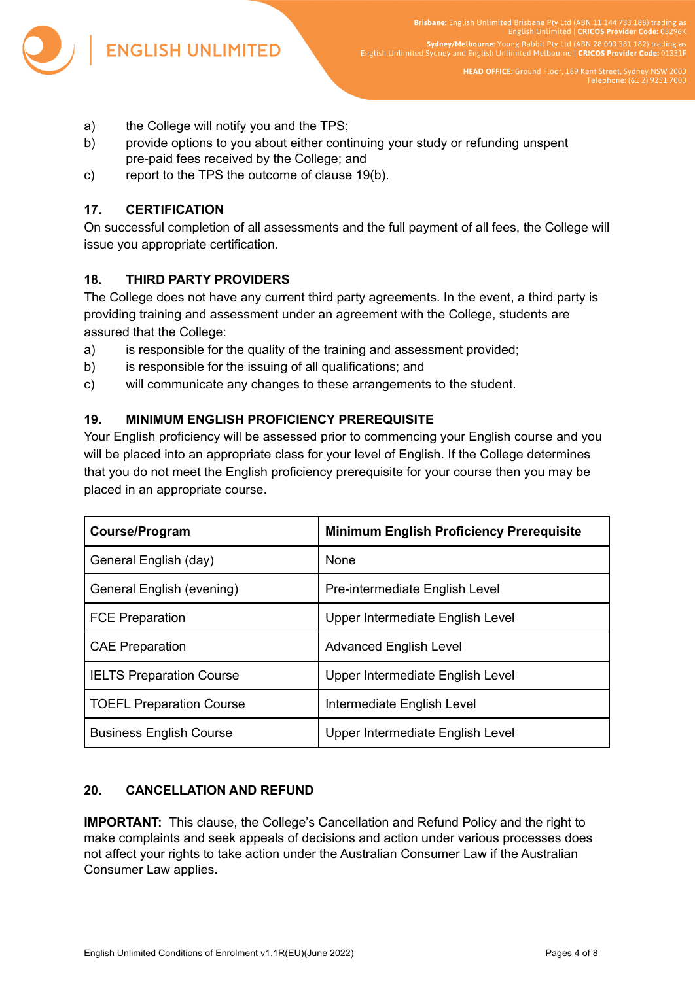

- a) the College will notify you and the TPS;
- b) provide options to you about either continuing your study or refunding unspent pre-paid fees received by the College; and
- c) report to the TPS the outcome of clause 19(b).

### **17. CERTIFICATION**

On successful completion of all assessments and the full payment of all fees, the College will issue you appropriate certification.

## **18. THIRD PARTY PROVIDERS**

The College does not have any current third party agreements. In the event, a third party is providing training and assessment under an agreement with the College, students are assured that the College:

- a) is responsible for the quality of the training and assessment provided;
- b) is responsible for the issuing of all qualifications; and
- c) will communicate any changes to these arrangements to the student.

### **19. MINIMUM ENGLISH PROFICIENCY PREREQUISITE**

Your English proficiency will be assessed prior to commencing your English course and you will be placed into an appropriate class for your level of English. If the College determines that you do not meet the English proficiency prerequisite for your course then you may be placed in an appropriate course.

| <b>Course/Program</b>           | <b>Minimum English Proficiency Prerequisite</b> |
|---------------------------------|-------------------------------------------------|
| General English (day)           | <b>None</b>                                     |
| General English (evening)       | Pre-intermediate English Level                  |
| <b>FCE Preparation</b>          | Upper Intermediate English Level                |
| <b>CAE Preparation</b>          | <b>Advanced English Level</b>                   |
| <b>IELTS Preparation Course</b> | Upper Intermediate English Level                |
| <b>TOEFL Preparation Course</b> | Intermediate English Level                      |
| <b>Business English Course</b>  | Upper Intermediate English Level                |

## **20. CANCELLATION AND REFUND**

**IMPORTANT:** This clause, the College's Cancellation and Refund Policy and the right to make complaints and seek appeals of decisions and action under various processes does not affect your rights to take action under the Australian Consumer Law if the Australian Consumer Law applies.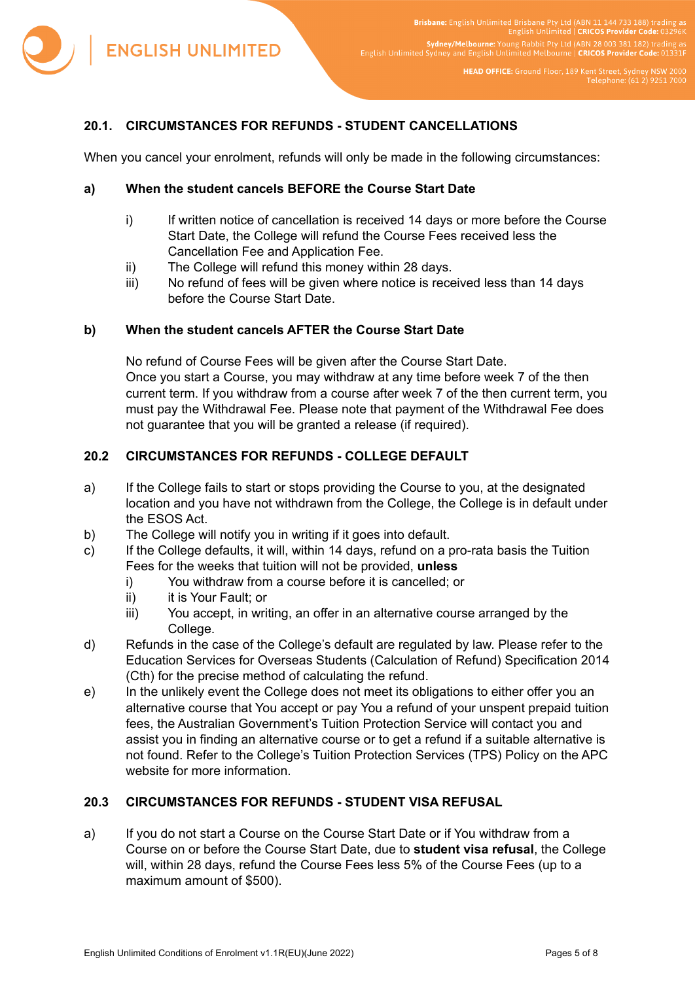

## **20.1. CIRCUMSTANCES FOR REFUNDS - STUDENT CANCELLATIONS**

When you cancel your enrolment, refunds will only be made in the following circumstances:

#### **a) When the student cancels BEFORE the Course Start Date**

- i) If written notice of cancellation is received 14 days or more before the Course Start Date, the College will refund the Course Fees received less the Cancellation Fee and Application Fee.
- ii) The College will refund this money within 28 days.
- iii) No refund of fees will be given where notice is received less than 14 days before the Course Start Date.

#### **b) When the student cancels AFTER the Course Start Date**

No refund of Course Fees will be given after the Course Start Date. Once you start a Course, you may withdraw at any time before week 7 of the then current term. If you withdraw from a course after week 7 of the then current term, you must pay the Withdrawal Fee. Please note that payment of the Withdrawal Fee does not guarantee that you will be granted a release (if required).

#### **20.2 CIRCUMSTANCES FOR REFUNDS - COLLEGE DEFAULT**

- a) If the College fails to start or stops providing the Course to you, at the designated location and you have not withdrawn from the College, the College is in default under the ESOS Act.
- b) The College will notify you in writing if it goes into default.
- c) If the College defaults, it will, within 14 days, refund on a pro-rata basis the Tuition Fees for the weeks that tuition will not be provided, **unless**
	- i) You withdraw from a course before it is cancelled; or
	- ii) it is Your Fault; or
	- iii) You accept, in writing, an offer in an alternative course arranged by the College.
- d) Refunds in the case of the College's default are regulated by law. Please refer to the Education Services for Overseas Students (Calculation of Refund) Specification 2014 (Cth) for the precise method of calculating the refund.
- e) In the unlikely event the College does not meet its obligations to either offer you an alternative course that You accept or pay You a refund of your unspent prepaid tuition fees, the Australian Government's Tuition Protection Service will contact you and assist you in finding an alternative course or to get a refund if a suitable alternative is not found. Refer to the College's Tuition Protection Services (TPS) Policy on the APC website for more information.

#### **20.3 CIRCUMSTANCES FOR REFUNDS - STUDENT VISA REFUSAL**

a) If you do not start a Course on the Course Start Date or if You withdraw from a Course on or before the Course Start Date, due to **student visa refusal**, the College will, within 28 days, refund the Course Fees less 5% of the Course Fees (up to a maximum amount of \$500).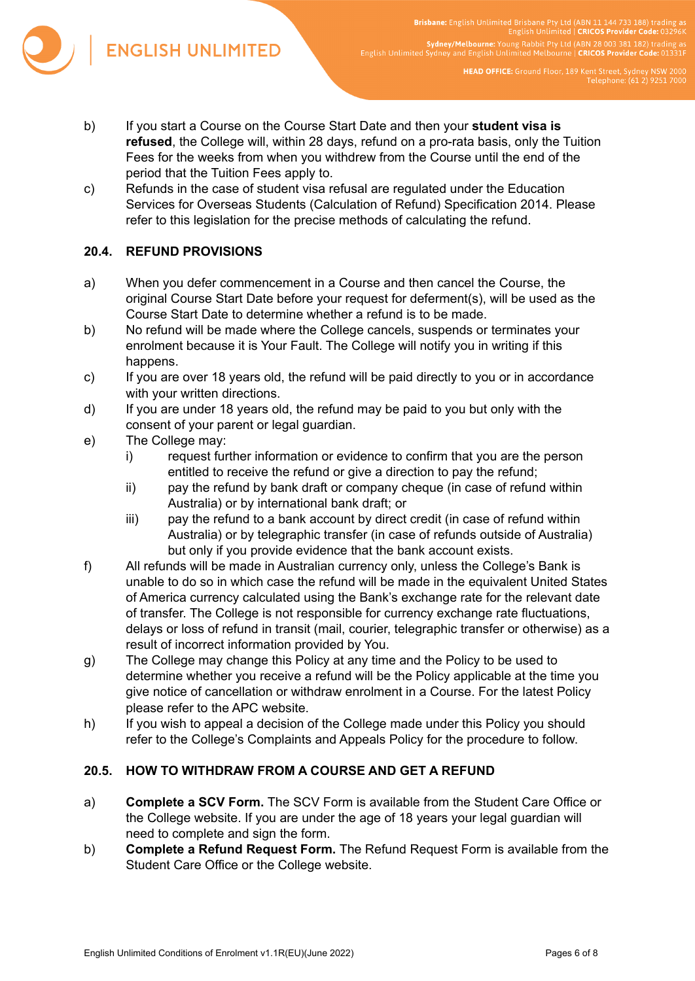

- b) If you start a Course on the Course Start Date and then your **student visa is refused**, the College will, within 28 days, refund on a pro-rata basis, only the Tuition Fees for the weeks from when you withdrew from the Course until the end of the period that the Tuition Fees apply to.
- c) Refunds in the case of student visa refusal are regulated under the Education Services for Overseas Students (Calculation of Refund) Specification 2014. Please refer to this legislation for the precise methods of calculating the refund.

#### **20.4. REFUND PROVISIONS**

- a) When you defer commencement in a Course and then cancel the Course, the original Course Start Date before your request for deferment(s), will be used as the Course Start Date to determine whether a refund is to be made.
- b) No refund will be made where the College cancels, suspends or terminates your enrolment because it is Your Fault. The College will notify you in writing if this happens.
- c) If you are over 18 years old, the refund will be paid directly to you or in accordance with your written directions.
- d) If you are under 18 years old, the refund may be paid to you but only with the consent of your parent or legal guardian.
- e) The College may:
	- i) request further information or evidence to confirm that you are the person entitled to receive the refund or give a direction to pay the refund;
	- ii) pay the refund by bank draft or company cheque (in case of refund within Australia) or by international bank draft; or
	- iii) pay the refund to a bank account by direct credit (in case of refund within Australia) or by telegraphic transfer (in case of refunds outside of Australia) but only if you provide evidence that the bank account exists.
- f) All refunds will be made in Australian currency only, unless the College's Bank is unable to do so in which case the refund will be made in the equivalent United States of America currency calculated using the Bank's exchange rate for the relevant date of transfer. The College is not responsible for currency exchange rate fluctuations, delays or loss of refund in transit (mail, courier, telegraphic transfer or otherwise) as a result of incorrect information provided by You.
- g) The College may change this Policy at any time and the Policy to be used to determine whether you receive a refund will be the Policy applicable at the time you give notice of cancellation or withdraw enrolment in a Course. For the latest Policy please refer to the APC website.
- h) If you wish to appeal a decision of the College made under this Policy you should refer to the College's Complaints and Appeals Policy for the procedure to follow.

## **20.5. HOW TO WITHDRAW FROM A COURSE AND GET A REFUND**

- a) **Complete a SCV Form.** The SCV Form is available from the Student Care Office or the College website. If you are under the age of 18 years your legal guardian will need to complete and sign the form.
- b) **Complete a Refund Request Form.** The Refund Request Form is available from the Student Care Office or the College website.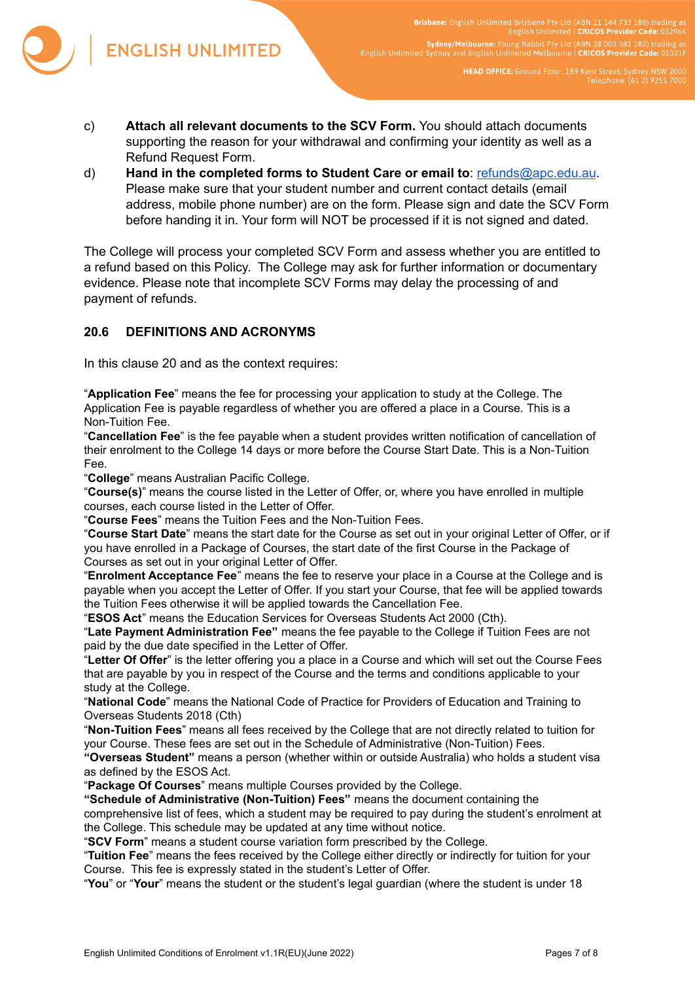

- c) **Attach all relevant documents to the SCV Form.** You should attach documents supporting the reason for your withdrawal and confirming your identity as well as a Refund Request Form.
- d) **Hand in the completed forms to Student Care or email to**: [refunds@apc.edu.au](mailto:refunds@apc.edu.au). Please make sure that your student number and current contact details (email address, mobile phone number) are on the form. Please sign and date the SCV Form before handing it in. Your form will NOT be processed if it is not signed and dated.

The College will process your completed SCV Form and assess whether you are entitled to a refund based on this Policy. The College may ask for further information or documentary evidence. Please note that incomplete SCV Forms may delay the processing of and payment of refunds.

#### **20.6 DEFINITIONS AND ACRONYMS**

In this clause 20 and as the context requires:

"**Application Fee**" means the fee for processing your application to study at the College. The Application Fee is payable regardless of whether you are offered a place in a Course*.* This is a Non-Tuition Fee.

"**Cancellation Fee**" is the fee payable when a student provides written notification of cancellation of their enrolment to the College 14 days or more before the Course Start Date. This is a Non-Tuition Fee.

"**College**" means Australian Pacific College.

"**Course(s)**" means the course listed in the Letter of Offer, or, where you have enrolled in multiple courses, each course listed in the Letter of Offer.

"**Course Fees**" means the Tuition Fees and the Non-Tuition Fees.

"**Course Start Date**" means the start date for the Course as set out in your original Letter of Offer, or if you have enrolled in a Package of Courses, the start date of the first Course in the Package of Courses as set out in your original Letter of Offer.

"**Enrolment Acceptance Fee**" means the fee to reserve your place in a Course at the College and is payable when you accept the Letter of Offer. If you start your Course, that fee will be applied towards the Tuition Fees otherwise it will be applied towards the Cancellation Fee.

"**ESOS Act**" means the Education Services for Overseas Students Act 2000 (Cth).

"**Late Payment Administration Fee"** means the fee payable to the College if Tuition Fees are not paid by the due date specified in the Letter of Offer.

"**Letter Of Offer**" is the letter offering you a place in a Course and which will set out the Course Fees that are payable by you in respect of the Course and the terms and conditions applicable to your study at the College.

"**National Code**" means the National Code of Practice for Providers of Education and Training to Overseas Students 2018 (Cth)

"**Non-Tuition Fees**" means all fees received by the College that are not directly related to tuition for your Course. These fees are set out in the Schedule of Administrative (Non-Tuition) Fees.

**"Overseas Student"** means a person (whether within or outside Australia) who holds a student visa as defined by the ESOS Act.

"**Package Of Courses**" means multiple Courses provided by the College.

**"Schedule of Administrative (Non-Tuition) Fees"** means the document containing the comprehensive list of fees, which a student may be required to pay during the student's enrolment at the College. This schedule may be updated at any time without notice.

"**SCV Form**" means a student course variation form prescribed by the College.

"**Tuition Fee**" means the fees received by the College either directly or indirectly for tuition for your Course. This fee is expressly stated in the student's Letter of Offer.

"**You**" or "**Your**" means the student or the student's legal guardian (where the student is under 18